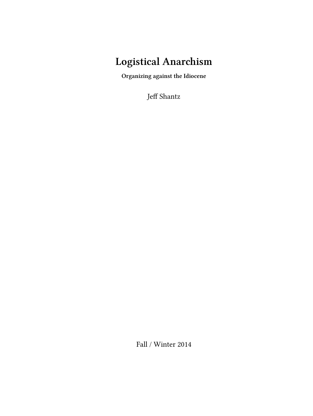## **Logistical Anarchism**

**Organizing against the Idiocene**

Jeff Shantz

Fall / Winter 2014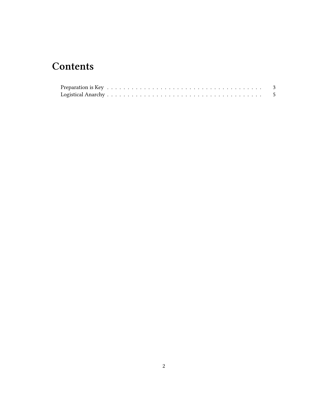## **Contents**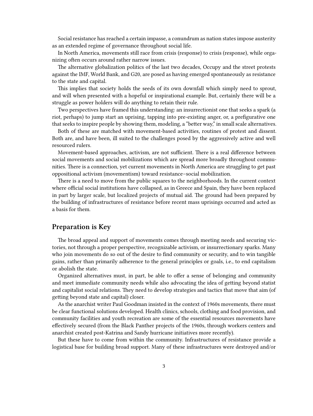Social resistance has reached a certain impasse, a conundrum as nation states impose austerity as an extended regime of governance throughout social life.

In North America, movements still race from crisis (response) to crisis (response), while organizing often occurs around rather narrow issues.

The alternative globalization politics of the last two decades, Occupy and the street protests against the IMF, World Bank, and G20, are posed as having emerged spontaneously as resistance to the state and capital.

This implies that society holds the seeds of its own downfall which simply need to sprout, and will when presented with a hopeful or inspirational example. But, certainly there will be a struggle as power holders will do anything to retain their rule.

Two perspectives have framed this understanding: an insurrectionist one that seeks a spark (a riot, perhaps) to jump start an uprising, tapping into pre-existing anger, or, a prefigurative one that seeks to inspire people by showing them, modeling, a "better way," in small scale alternatives.

Both of these are matched with movement-based activities, routines of protest and dissent. Both are, and have been, ill suited to the challenges posed by the aggressively active and well resourced rulers.

Movement-based approaches, activism, are not sufficient. There is a real difference between social movements and social mobilizations which are spread more broadly throughout communities. There is a connection, yet current movements in North America are struggling to get past oppositional activism (movementism) toward resistance–social mobilization.

There is a need to move from the public squares to the neighborhoods. In the current context where official social institutions have collapsed, as in Greece and Spain, they have been replaced in part by larger scale, but localized projects of mutual aid. The ground had been prepared by the building of infrastructures of resistance before recent mass uprisings occurred and acted as a basis for them.

## <span id="page-2-0"></span>**Preparation is Key**

The broad appeal and support of movements comes through meeting needs and securing victories, not through a proper perspective, recognizable activism, or insurrectionary sparks. Many who join movements do so out of the desire to find community or security, and to win tangible gains, rather than primarily adherence to the general principles or goals, i.e., to end capitalism or abolish the state.

Organized alternatives must, in part, be able to offer a sense of belonging and community and meet immediate community needs while also advocating the idea of getting beyond statist and capitalist social relations. They need to develop strategies and tactics that move that aim (of getting beyond state and capital) closer.

As the anarchist writer Paul Goodman insisted in the context of 1960s movements, there must be clear functional solutions developed. Health clinics, schools, clothing and food provision, and community facilities and youth recreation are some of the essential resources movements have effectively secured (from the Black Panther projects of the 1960s, through workers centers and anarchist created post-Katrina and Sandy hurricane initiatives more recently).

But these have to come from within the community. Infrastructures of resistance provide a logistical base for building broad support. Many of these infrastructures were destroyed and/or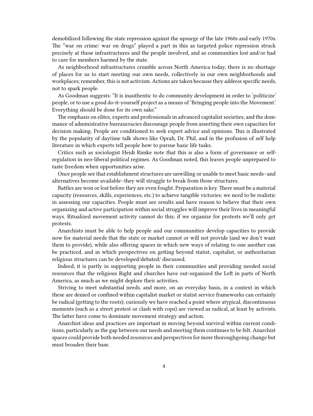demobilized following the state repression against the upsurge of the late 1960s and early 1970s. The "war on crime/ war on drugs" played a part in this as targeted police repression struck precisely at those infrastructures and the people involved, and as communities lost and/or had to care for members harmed by the state.

As neighborhood infrastructures crumble across North America today, there is no shortage of places for us to start meeting our own needs, collectively in our own neighborhoods and workplaces; remember, this is not activism. Actions are taken because they address specific needs, not to spark people.

As Goodman suggests: "It is inauthentic to do community development in order to 'politicize' people, or to use a good do-it-yourself project as a means of 'Bringing people into the Movement.' Everything should be done for its own sake."

The emphasis on elites, experts and professionals in advanced capitalist societies, and the dominance of administrative bureaucracies discourage people from asserting their own capacities for decision making. People are conditioned to seek expert advice and opinions. This is illustrated by the popularity of daytime talk shows like Oprah, Dr. Phil, and in the profusion of self help literature in which experts tell people how to pursue basic life tasks.

Critics such as sociologist Heidi Rimke note that this is also a form of governance or selfregulation in neo-liberal political regimes. As Goodman noted, this leaves people unprepared to taste freedom when opportunities arise.

Once people see that establishment structures are unwilling or unable to meet basic needs–and alternatives become available–they will struggle to break from those structures.

Battles are won or lost before they are even fought. Preparation is key. There must be a material capacity (resources, skills, experiences, etc.) to achieve tangible victories; we need to be realistic in assessing our capacities. People must see results and have reason to believe that their own organizing and active participation within social struggles will improve their lives in meaningful ways. Ritualized movement activity cannot do this; if we organize for protests we'll only get protests.

Anarchists must be able to help people and our communities develop capacities to provide now for material needs that the state or market cannot or will not provide (and we don't want them to provide), while also offering spaces in which new ways of relating to one another can be practiced, and in which perspectives on getting beyond statist, capitalist, or authoritarian religious structures can be developed/debated/ discussed.

Indeed, it is partly in supporting people in their communities and providing needed social resources that the religious Right and churches have out-organized the Left in parts of North America, as much as we might deplore their activities.

Striving to meet substantial needs, and more, on an everyday basis, in a context in which these are denied or confined within capitalist market or statist service frameworks can certainly be radical (getting to the roots); curiously we have reached a point where atypical, discontinuous moments (such as a street protest or clash with cops) are viewed as radical, at least by activists. The latter have come to dominate movement strategy and action.

Anarchist ideas and practices are important in moving beyond survival within current conditions, particularly as the gap between our needs and meeting them continues to be felt. Anarchist spaces could provide both needed resources and perspectives for more thoroughgoing change but must broaden their base.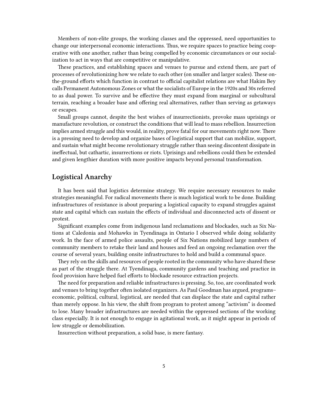Members of non-elite groups, the working classes and the oppressed, need opportunities to change our interpersonal economic interactions. Thus, we require spaces to practice being cooperative with one another, rather than being compelled by economic circumstances or our socialization to act in ways that are competitive or manipulative.

These practices, and establishing spaces and venues to pursue and extend them, are part of processes of revolutionizing how we relate to each other (on smaller and larger scales). These onthe-ground efforts which function in contrast to official capitalist relations are what Hakim Bey calls Permanent Autonomous Zones or what the socialists of Europe in the 1920s and 30s referred to as dual power. To survive and be effective they must expand from marginal or subcultural terrain, reaching a broader base and offering real alternatives, rather than serving as getaways or escapes.

Small groups cannot, despite the best wishes of insurrectionists, provoke mass uprisings or manufacture revolution, or construct the conditions that will lead to mass rebellion. Insurrection implies armed struggle and this would, in reality, prove fatal for our movements right now. There is a pressing need to develop and organize bases of logistical support that can mobilize, support, and sustain what might become revolutionary struggle rather than seeing discontent dissipate in ineffectual, but cathartic, insurrections or riots. Uprisings and rebellions could then be extended and given lengthier duration with more positive impacts beyond personal transformation.

## <span id="page-4-0"></span>**Logistical Anarchy**

It has been said that logistics determine strategy. We require necessary resources to make strategies meaningful. For radical movements there is much logistical work to be done. Building infrastructures of resistance is about preparing a logistical capacity to expand struggles against state and capital which can sustain the effects of individual and disconnected acts of dissent or protest.

Significant examples come from indigenous land reclamations and blockades, such as Six Nations at Caledonia and Mohawks in Tyendinaga in Ontario I observed while doing solidarity work. In the face of armed police assaults, people of Six Nations mobilized large numbers of community members to retake their land and houses and feed an ongoing reclamation over the course of several years, building onsite infrastructures to hold and build a communal space.

They rely on the skills and resources of people rooted in the community who have shared these as part of the struggle there. At Tyendinaga, community gardens and teaching and practice in food provision have helped fuel efforts to blockade resource extraction projects.

The need for preparation and reliable infrastructures is pressing. So, too, are coordinated work and venues to bring together often isolated organizers. As Paul Goodman has argued, programs– economic, political, cultural, logistical, are needed that can displace the state and capital rather than merely oppose. In his view, the shift from program to protest among "activism" is doomed to lose. Many broader infrastructures are needed within the oppressed sections of the working class especially. It is not enough to engage in agitational work, as it might appear in periods of low struggle or demobilization.

Insurrection without preparation, a solid base, is mere fantasy.